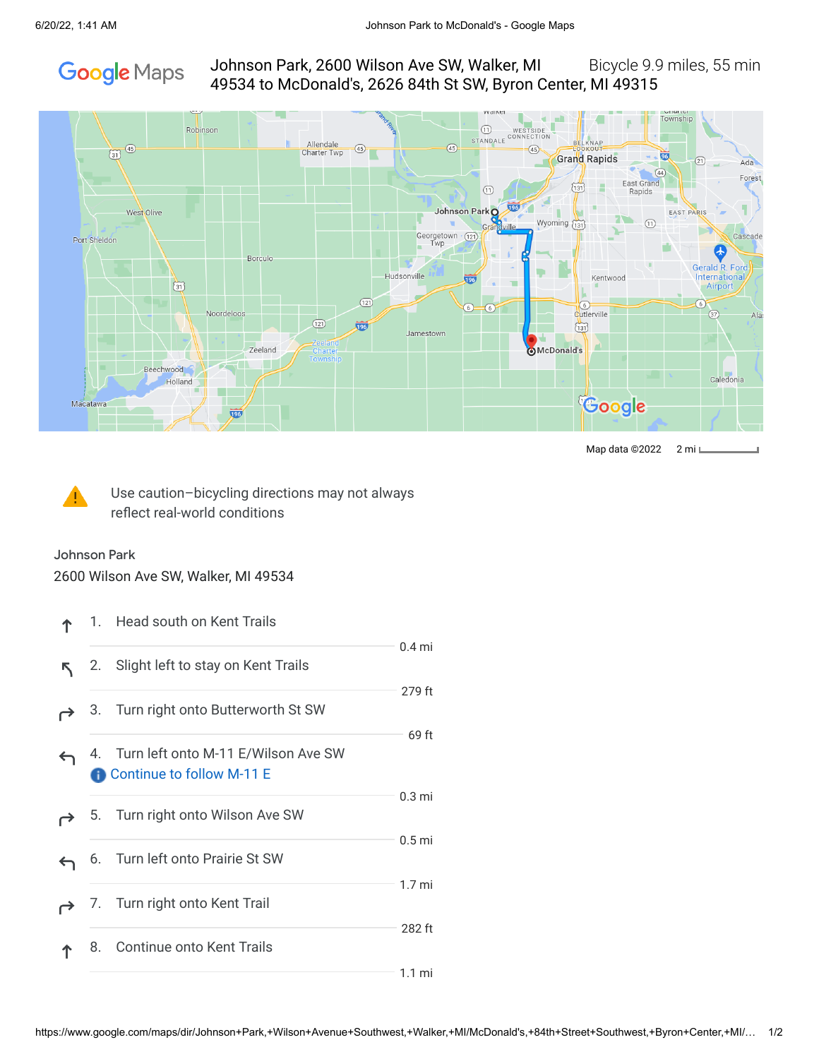# **Google** Maps

# Johnson Park, 2600 Wilson Ave SW, Walker, MI Bicycle 9.9 miles, 55 min 49534 to McDonald's, 2626 84th St SW, Byron Center, MI 49315



Map data ©2022 2 mi



Use caution–bicycling directions may not always reflect real-world conditions

#### Johnson Park

2600 Wilson Ave SW, Walker, MI 49534

|   |            | 1. Head south on Kent Trails                                        |                   |
|---|------------|---------------------------------------------------------------------|-------------------|
|   | 2.         | Slight left to stay on Kent Trails                                  | $0.4$ mi          |
|   |            | 3. Turn right onto Butterworth St SW                                | 279 ft            |
| ← |            | 4. Turn left onto M-11 E/Wilson Ave SW<br>Continue to follow M-11 E | 69 ft             |
|   |            | 5. Turn right onto Wilson Ave SW                                    | $0.3 \text{ mi}$  |
|   | 6.         | Turn left onto Prairie St SW                                        | 0.5 <sub>mi</sub> |
|   | $\sqrt{2}$ | Turn right onto Kent Trail                                          | 1.7 <sub>mi</sub> |
|   | 8.         | Continue onto Kent Trails                                           | 282 ft            |
|   |            |                                                                     | $1.1 \text{ mi}$  |